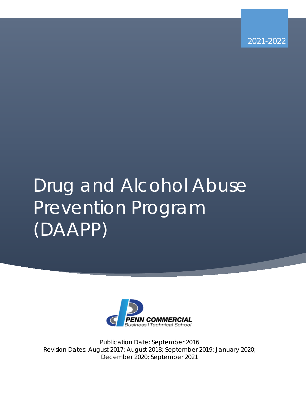2021-2022

# Drug and Alcohol Abuse Prevention Program (DAAPP)



Publication Date: September 2016 Revision Dates: August 2017; August 2018; September 2019; January 2020; December 2020; September 2021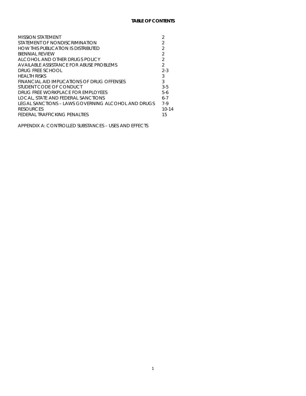| <b>MISSION STATEMENT</b>                           |                |
|----------------------------------------------------|----------------|
| STATEMENT OF NONDISCRIMINATION                     | 2              |
| HOW THIS PUBLICATION IS DISTRIBUTED                | $\mathfrak{D}$ |
| <b>BIENNIAL REVIEW</b>                             | 2              |
| ALCOHOL AND OTHER DRUGS POLICY                     | $\mathcal{D}$  |
| AVAILABLE ASSISTANCE FOR ABUSE PROBLEMS            | $\mathcal{D}$  |
| DRUG FREE SCHOOL                                   | $2 - 3$        |
| HE ALTH RISKS                                      | 3              |
| FINANCIAL AID IMPLICATIONS OF DRUG OFFENSES        | 3              |
| STUDENT CODE OF CONDUCT                            | $3-5$          |
| DRUG ERFE WORKPLACE FOR EMPLOYEES                  | $5-6$          |
| LOCAL, STATE AND FEDERAL SANCTIONS                 | $6 - 7$        |
| LEGAL SANCTIONS – LAWS GOVERNING ALCOHOL AND DRUGS | $7-9$          |
| <b>RESOURCES</b>                                   | $10 - 14$      |
| FEDERAL TRAFFICKING PENALTIES                      | 15             |

APPENDIX A: CONTROLLED SUBSTANCES – USES AND EFFECTS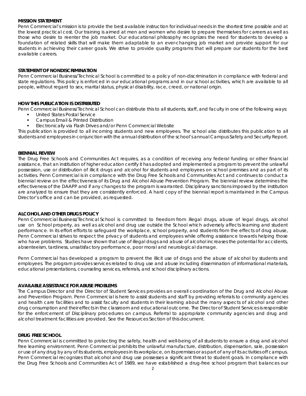#### **MISSION STATEMENT**

Penn Commercial's mission is to provide the best available instruction for individual needs in the shortest time possible and at the lowest practical cost. Our training is aimed at men and women who desire to prepare themselves for careers as well as those who desire to reenter the job market. Our educational philosophy recognizes the need for students to develop a foundation of related skills that will make them adaptable to an ever-changing job market and provide support for our students in achieving their career goals. We strive to provide quality programs that will prepare our students for the best available careers.

#### **STATEMENT OF NONDISCRIMINATION**

Penn Commercial Business/Technical School is committed to a policy of non-discrimination in compliance with federal and state regulations. This policy is enforced in our educational programs and in our school activities, which are available to all people, without regard to sex, marital status, physical disability, race, creed, or national origin.

#### **HOW THIS PUBLICATION IS DISTRIBUTED**

Penn Commercial Business/Technical School can distribute this to all students, staff, and faculty in one of the following ways:

- United States Postal Service
- Campus Email & Printed Distribution
- Electronically via Flash Drives and/or Penn Commercial Website

This publication is provided to all incoming students and new employees. The school also distributes this publication to all students and employees in conjunction with the annual distribution of the school's annual Campus Safety and Security Report.

#### **BIENNIAL REVIEW**

The Drug Free Schools and Communities Act requires, as a condition of receiving any federal funding or other financial assistance, that an institution of higher education certify it has adopted and implemented a program to prevent the unlawful possession, use or distribution of illicit drugs and alcohol for students and employees on school premises and as part of its activities. Penn Commercial is in compliance with the Drug Free Schools and Communities Act and continues to conduct a biennial review on the effectiveness of its Drug and Alcohol Abuse Prevention Program. The biennial review determines the effectiveness of the DAAPP and if any changes to the program is warranted. Disciplinary sanctions imposed by the institution are analyzed to ensure that they are consistently enforced. A hard copy of the biennial report is maintained in the Campus Director's office and can be provided, as requested.

#### **ALCOHOL AND OTHER DRUGS POLICY**

Penn Commercial Business/Technical School is committed to freedom from illegal drugs, abuse of legal drugs, alcohol use on School property, as well as alcohol and drug use outside the School which adversely affects learning and student performance. In its effort efforts to safeguard the workplace, school property, and students from the effects of drug abuse, Penn Commercial strives to respect the privacy of students and employees while offering assistance towards helping those who have problems. Studies have shown that use of illegal drugs and abuse of alcohol increases the potential for accidents, absenteeism, tardiness, unsatisfactory performance, poor moral and neurological damage.

Penn Commercial has developed a program to prevent the illicit use of drugs and the abuse of alcohol by students and employees. The program provides services related to drug use and abuse including dissemination of informational materials, educational presentations, counseling services, referrals, and school disciplinary actions.

#### **AVAILABLE ASSISTANCE FOR ABUSE PROBLEMS**

The Campus Director and the Director of Student Services provides an overall coordination of the Drug and Alcohol Abuse and Prevention Program. Penn Commercial is here to assist students and staff by providing referrals to community agencies and health care facilities and to assist faculty and students in their learning about the many aspects of alcohol and other drug consumption and their effects in the classroom and educational outcome. The Director of Student Services is responsible for the enforcement of Disciplinary procedures on campus. Referral to appropriate community agencies and drug and alcohol treatment facilities are provided. See the Resources Section of this document.

#### **DRUG FREE SCHOOL**

Penn Commercial is committed to protecting the safety, health and well-being of all students to ensure a drug and alcohol free learning environment. Penn Commercial prohibits the unlawful manufacture, distribution, dispensation, sale, possession or use of any drug by any of its students, employees in its workplace, on its premises or as part of any of its activities off campus. Penn Commercial recognizes that alcohol and drug use possesses a significant threat to student goals. In compliance with the Drug Free Schools and Communities Act of 1989, we have established a drug-free school program that balances our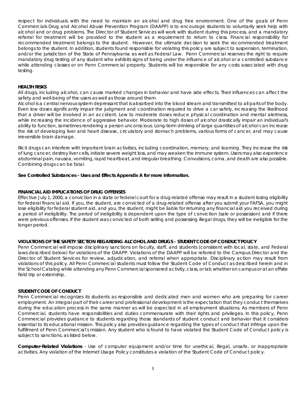respect for individuals with the need to maintain an alcohol and drug free environment. One of the goals of Penn Commercials Drug and Alcohol Abuse Prevention Program (DAAPP) is to encourage students to voluntarily seek help with alcohol and or drug problems. The Director of Student Services will work with student during this process, and a mandatory referral for treatment will be provided to the student as a requirement to return to class. Financial responsibility for recommended treatment belongs to the student. However, the ultimate decision to seek the recommended treatment belongs to the student. In addition, students found responsible for violating this policy are subject to suspension, termination, and/or the jurisdiction of the State of Pennsylvania as well as Federal Law. Penn Commercial reserves the right to require mandatory drug testing of any student who exhibits signs of being under the influence of alcohol or a controlled substance while attending classes or on Penn Commercial property. Students will be responsible for any costs associated with drug testing.

#### **HEALTH RISKS**

All drugs, including alcohol, can cause marked changes in behavior and have side effects. Their influences can affect the safety and well-being of the users as well as those around them.

Alcohol is a central nervous system depressant that is absorbed into the blood stream and transmitted to all parts of the body. Even low doses significantly impair the judgment and coordination required to drive a car safely, increasing the likelihood that a driver will be involved in an accident. Low to moderate doses reduce physical coordination and mental alertness, while increasing the incidence of aggressive behavior. Moderate to high doses of alcohol drastically impair an individual's ability to function, sometimes rendering a person unconscious. Long-term drinking of large quantities of alcohol can increase the risk of developing liver and heart disease, circulatory and stomach problems, various forms of cancer, and may cause irreversible brain damage.

Illicit drugs can interfere with important brain activities, including coordination, memory, and learning. They increase the risk of lung cancer, destroy liver cells, initiate severe weight loss, and may weaken the immune system. Users may also experience abdominal pain, nausea, vomiting, rapid heartbeat, and irregular breathing. Convulsions, coma, and death are also possible. Combining drugs can be fatal.

#### *See Controlled Substances - Uses and Effects Appendix A for more information.*

#### **FINANCIAL AID IMPLICATIONS OF DRUG OFFENSES**

Effective July 1, 2000, a conviction in a state or federal court for a drug-related offense may result in a student losing eligibility for federal financial aid. If you, the student, are convicted of a drug-related offense after you submit your FAFSA, you might lose eligibility for federal student aid, and you, the student, might be liable for returning any financial aid you received during a period of ineligibility. The period of ineligibility is dependent upon the type of conviction (sale or possession) and if there were previous offenses. If the student was convicted of both selling and possessing illegal drugs, they will be ineligible for the longer period.

#### **VIOLATIONS OF THE SAFETY SECTION REGARDING ALCOHOL AND DRUGS - STUDENT CODE OF CONDUCT POLICY**

Penn Commercial will impose disciplinary sanctions on faculty, staff, and students (consistent with local, state, and Federal laws described below) for violations of the DAAPP. Violations of the DAAPP will be referred to the Campus Director and the Director of Student Services for review, adjudication, and referral when appropriate. Disciplinary action may result from violations of this policy. All Penn Commercial students must follow the Student Code of Conduct as described herein and in the School Catalog while attending any Penn Commercial sponsored activity, class, or lab whether on campus or at an offsite field trip or externship.

#### **STUDENT CODE OF CONDUCT**

Penn Commercial recognizes its students as responsible and dedicated men and women who are preparing for career employment. An integral part of their career and professional development is the expectation that they conduct themselves during the education process in the same manner as will be expected in all employment situations. As members of Penn Commercial, students have responsibilities and duties commensurate with their rights and privileges. In this policy, Penn Commercial provides guidance to students regarding those standards of student conduct and behavior that it considers essential to its educational mission. This policy also provides guidance regarding the types of conduct that infringe upon the fulfillment of Penn Commercial's mission. Any student who is found to have violated the Student Code of Conduct policy is subject to sanctions, as listed below.

*Computer-Related Violations* - Use of computer equipment and/or time for unethical, illegal, unsafe, or inappropriate activities. Any violation of the Internet Usage Policy constitutes a violation of the Student Code of Conduct policy.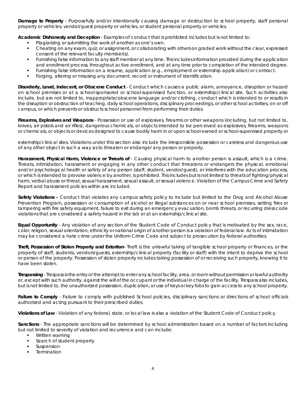*Damage to Property* - Purposefully and/or intentionally causing damage or destruction to school property, staff personal property or vehicles, vendor/guest property or vehicles, or student personal property or vehicles.

*Academic Dishonesty and Deception* - Examples of conduct that is prohibited includes but is not limited to:

- Plagiarizing or submitting the work of another as one's own.
- Cheating on any exam, quiz, or assignment, or collaborating with others on graded work without the clear, expressed consent of the relevant faculty member(s).
- Furnishing false information to any staff member at any time. This includes information provided during the application and enrollment process, throughout active enrollment, and at any time prior to completion of the intended degree.
- Furnishing false information on a resume, application (e.g., employment or externship application) or contract.
- Forging, altering or misusing any document, record or instrument of identification.

*Disorderly, Lewd, Indecent, or Obscene Conduct* - Conduct which causes a public alarm, annoyance, disruption or hazard on school premises or at a school-sponsored or school-supervised function, or externship/clinical site. Such activities also include, but are not limited to, inappropriate/obscene language and/or clothing, conduct which is intended to or results in the disruption or obstruction of teaching, daily school operations, disciplinary proceedings, or other school activities, on or off campus, or which prevents or obstructs school personnel from performing their duties.

*Firearms, Explosives and Weapons* - Possession or use of explosives, firearms or other weapons (including, but not limited to, knives, air pistols and air rifles), dangerous chemicals, or objects intended to be perceived as explosives, firearms, weapons or chemicals, or objects or devices designed to cause bodily harm in or upon school-owned or school-supervised property or

externship/clinical sites. Violations under this section also include the irresponsible possession or careless and dangerous use of any other object in such a way as to threaten or endanger any person or property.

Harassment, Physical Harm, Violence or Threats of - Causing physical harm to another person is assault, which is a crime. Threats, intimidation, harassment or engaging in any other conduct that threatens or endangers the physical, emotional and/or psychological health or safety of any person (staff, student, vendor/guest), or interferes with the education process, or which is intended to provoke violence by another, is prohibited. This includes but is not limited to threats of fighting/physical harm, verbal abuse or threat, sexual harassment, sexual assault, or sexual violence. Violation of the Campus Crime and Safety Report and harassment policies within are included.

*Safety Violations –* Conduct that violates any campus safety policy to include but limited to the Drug and Alcohol Abuse Prevention Program, possession or consumption of alcohol or illegal substances on or near school premises, setting fires or tampering with fire safety equipment, failure to exit during an emergency evacuation, bomb threats, or recurring dress code violations that are considered a safety hazard in the lab or at an externship/clinical site.

*Equal Opportunity* - Any violation of any section of the Student Code of Conduct policy that is motivated by the sex, race, color, religion, sexual orientation, ethnicity or national origin of another person is a violation of federal law. Acts of intimidation may be considered a hate crime under the Uniform Crime Code and subject to prosecution by federal authorities.

*Theft, Possession of Stolen Property and Extortion*- Theft is the unlawful taking of tangible school property or finances, or the property of staff, students, vendors/guests, externship/clinical property (facility or staff) with the intent to deprive the school or person of the property. Possession of stolen property includes taking possession of or receiving such property, knowing it to have been stolen.

*Trespassing* - Trespass is the entry or the attempt to enter any school facility, area, or room without permission or lawful authority or, except with such authority, against the will of the occupant or the individual in charge of the facility. Trespass also includes, but is not limited to, the unauthorized possession, duplication, or use of keys or key fobs to gain access to any school property.

*Failure to Comply* - Failure to comply with published School policies, disciplinary sanctions or directions of school officials authorized and acting pursuant to their prescribed duties.

*Violations of Law* - Violation of any federal, state, or local law is also a violation of the Student Code of Conduct policy.

*Sanctions* - The appropriate sanctions will be determined by school administration based on a number of factors including but not limited to severity of violation and recurrence and can include:

- Written warning
- Search of student property
- Suspension
- **Termination**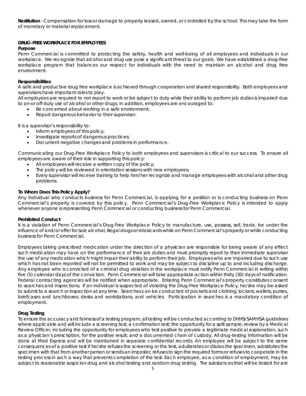*Restitution* - Compensation for loss or damage to property leased, owned, or controlled by the school. This may take the form of monetary or material replacement.

# **DRUG-FREE WORKPLACE FOR EMPLOYEES**

# *Purpose*

Penn Commercial is committed to protecting the safety, health and well-being of all employees and individuals in our workplace. We recognize that alcohol and drug use pose a significant threat to our goals. We have established a drug-free workplace program that balances our respect for individuals with the need to maintain an alcohol and drug free environment.

# *Responsibilities*

A safe and productive drug free workplace is achieved through cooperation and shared responsibility. Both employees and supervisors have important roles to play.

All employees are required to not report to work or be subject to duty while their ability to perform job duties is impaired due to on-or off-duty use of alcohol or other drugs. In addition, employees are encouraged to:

- Be concerned about working in a safe environment;
- Report dangerous behavior to their supervisor.

It is a supervisor's responsibility to:

- Inform employees of this policy;
- Investigate reports of dangerous practices;
- Document negative changes and problems in performance.

Communicating our Drug-Free Workplace Policy to both employees and supervisors is critical to our success. To ensure all employees are aware of their role in supporting this policy:

- All employees will receive a written copy of the policy;
- The policy will be reviewed in orientation sessions with new employees;
- Every supervisor will receive training to help him/her recognize and manage employees with alcohol and other drug problems.

# *To Whom Does This Policy Apply?*

Any individual who conducts business for Penn Commercial, is applying for a position or is conducting business on Penn Commercial's property is covered by this policy. Penn Commercial's Drug-Free Workplace Policy is intended to apply whenever anyone is representing Penn Commercial or conducting business for Penn Commercial.

# *Prohibited Conduct*

It is a violation of Penn Commercial's Drug-Free Workplace Policy to manufacture, use, possess, sell, trade, be under the influence of and/or offer for sale alcohol, illegal drugs or intoxicants while on Penn Commercial's property or while conducting business for Penn Commercial.

Employees taking prescribed medication under the direction of a physician are responsible for being aware of any effect such medication may have on the performance of their job duties and must promptly report to their immediate supervisor the use of any medication which might impair their ability to perform their job. Employees who are impaired due to such use which has not been reported will not be permitted to work and may be subject to discipline up to and including discharge. Any employee who is convicted of a criminal drug violation in the workplace must notify Penn Commercial in writing within five (5) calendar days of the conviction. Penn Commercial will take appropriate action within thirty (30) days of notification. Federal contracting agencies will be notified when appropriate. Entering Penn Commercial's property constitutes consent to searches and inspections. If an individual is suspected of violating the Drug-Free Workplace Policy, he/she may be asked to submit to a search or inspection at any time. Searches can be conducted of pockets and clothing; lockers, wallets, purses, briefcases and lunchboxes; desks and workstations; and vehicles. Participation in searches is a mandatory condition of employment.

# *Drug Testing*

To ensure the accuracy and fairness of a testing program, all testing will be conducted according to DHHS/SAMHSA guidelines where applicable and will include a screening test; a confirmation test; the opportunity for a split sample; review by a Medical Review Officer, including the opportunity for employees who test positive to provide a legitimate medical explanation, such as a physician's prescription, for the positive result; and a documented chain of custody. All drug-testing information will be done at Med Express and will be maintained in separate confidential records. An employee will be subject to the same consequences of a positive test if he/she refuses the screening or the test, adulterates or dilutes the specimen, substitutes the specimen with that from another person or sends an imposter, refuses to sign the required forms or refuses to cooperate in the testing process in such a way that prevents completion of the test. Each employee, as a condition of employment, may be subject to reasonable suspicion drug and alcohol testing and random drug testing. The substances that will be tested for are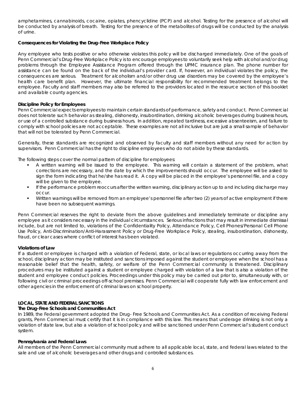amphetamines, cannabinoids, cocaine, opiates, phencyclidine (PCP) and alcohol. Testing for the presence of alcohol will be conducted by analysis of breath. Testing for the presence of the metabolites of drugs will be conducted by the analysis of urine.

# *Consequences for Violating the Drug-Free Workplace Policy*

Any employee who tests positive or who otherwise violates this policy will be discharged immediately. One of the goals of Penn Commercial's Drug-Free Workplace Policy is to encourage employees to voluntarily seek help with alcohol and/or drug problems through the Employee Assistance Program offered through the UPMC insurance plan. The phone number for assistance can be found on the back of the individual's provider card. If, however, an individual violates the policy, the consequences are serious. Treatment for alcoholism and/or other drug use disorders may be covered by the employee's health care benefit plan. However, the ultimate financial responsibility for recommended treatment belongs to the employee. Faculty and staff members may also be referred to the providers located in the resource section of this booklet and available county agencies.

# *Discipline Policy for Employees*

Penn Commercial expects employees to maintain certain standards of performance, safety and conduct. Penn Commercial does not tolerate such behavior as stealing, dishonesty, insubordination, drinking alcoholic beverages during business hours, or use of a controlled substance during business hours. In addition, repeated tardiness, excessive absenteeism, and failure to comply with school policies are not acceptable. These examples are not all inclusive but are just a small sample of behavior that will not be tolerated by Penn Commercial.

Generally, these standards are recognized and observed by faculty and staff members without any need for action by supervisors. Penn Commercial has the right to discipline employees who do not abide by these standards.

The following steps cover the normal pattern of discipline for employees:

- A written warning will be issued to the employee. This warning will contain a statement of the problem, what corrections are necessary, and the date by which the improvements should occur. The employee will be asked to sign the form indicating that he/she has read it. A copy will be placed in the employee's personnel file, and a copy will be given to the employee.
- If the performance problem reoccurs after the written warning, disciplinary action up to and including discharge may occur.
- Written warnings will be removed from an employee's personnel file after two (2) years of active employment if there have been no subsequent warnings.

Penn Commercial reserves the right to deviate from the above guidelines and immediately terminate or discipline any employee as it considers necessary in the individual circumstances. Serious infractions that may result in immediate dismissal include, but are not limited to, violations of the Confidentiality Policy, Attendance Policy, Cell Phones/Personal Cell Phone Use Policy, Anti-Discrimination/Anti-Harassment Policy or Drug-Free Workplace Policy, stealing, insubordination, dishonesty, fraud, or clear cases where conflict of interest has been violated.

# *Violations of Law*

If a student or employee is charged with a violation of Federal, state, or local laws or regulations occurring away from the school, disciplinary action may be instituted and sanctions imposed against the student or employee when the school has a reasonable belief that the health, safety, or welfare of the Penn Commercial community is threatened. Disciplinary procedures may be instituted against a student or employee charged with violation of a law that is also a violation of the student and employee conduct policies. Proceedings under this policy may be carried out prior to, simultaneously with, or following civil or criminal proceedings off-school premises. Penn Commercial will cooperate fully with law enforcement and other agencies in the enforcement of criminal laws on school property.

# **LOCAL, STATE AND FEDERAL SANCTIONS**

# *The Drug-Free Schools and Communities Act*

In 1989, the Federal government adopted the Drug- Free Schools and Communities Act. As a condition of receiving Federal grants, Penn Commercial must certify that it is in compliance with this law. This means that underage drinking is not only a violation of state law, but also a violation of school policy and will be sanctioned under Penn Commercial's student conduct system.

#### *Pennsylvania and Federal Laws*

All members of the Penn Commercial community must adhere to all applicable local, state, and federal laws related to the sale and use of alcoholic beverages and other drugs and controlled substances.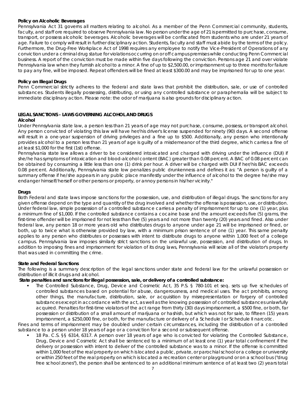#### *Policy on Alcoholic Beverages*

Pennsylvania Act 31 governs all matters relating to alcohol. As a member of the Penn Commercial community, students, faculty, and staff ore required to observe Pennsylvania law. No person under the age of 21 is permitted to purchase, consume, transport, or possess alcoholic beverages. Alcoholic beverages will be confiscated from students who are under 21 years of age. Failure to comply will result in further disciplinary action. Students, faculty and staff must abide by the terms of the policy. Furthermore, the Drug-Free Workplace Act of 1998 requires any employee to notify the Vice-President of Operations of any conviction under a criminal drug statue for violations occurring on or off campus premises while conducting Penn Commercial business. A report of the conviction must be made within five days following the conviction. Persons age 21 and over violate Pennsylvania law when they furnish alcohol to a minor. A fine of up to \$2,500.00, or imprisonment up to three months for failure to pay any fine, will be imposed. Repeat offenders will be fined at least \$300.00 and may be imprisoned for up to one year.

### *Policy on Illegal Drugs*

Penn Commercial strictly adheres to the federal and state laws that prohibit the distribution, sale, or use of controlled substances. Students illegally possessing, distributing, or using any controlled substance or paraphernalia will be subject to immediate disciplinary action. Please note: the odor of marijuana is also grounds for disciplinary action.

# **LEGAL SANCTIONS - LAWS GOVERNING ALCOHOL AND DRUGS**

#### *Alcohol*

Under Pennsylvania state law, a person less than 21 years of age may not purchase, consume, possess, or transport alcohol. Any person convicted of violating this law will have her/his driver's license suspended for ninety (90) days. A second offense will result in a one-year suspension of driving privileges and a fine up to \$500. Additionally, any person who intentionally provides alcohol to a person less than 21 years of age is guilty of a misdemeanor of the third degree, which carries a fine of at least \$1,000 for the first (1st) offense.

Pennsylvania state law allows a driver to be considered intoxicated and charged with driving under the influence (DUI) if she/he has symptoms of intoxication and blood-alcohol content (BAC) greater than 0.08 percent. A BAC of 0.08 percent can be obtained by consuming a little less than one (1) drink per hour. A driver will be charged with DUI if her/his BAC exceeds 0.08 percent. Additionally, Pennsylvania state low penalizes public drunkenness and defines it as: ''A person is guilty of a summary offense if he/she appears in any public place manifestly under the influence of alcohol to the degree he/she may endanger himself/herself or other persons or property, or annoy persons in his/her vicinity."

#### *Drugs*

Both Federal and state laws impose sanctions for the possession, use, and distribution of illegal drugs. The sanctions for any given offense depend on the type and quantity of the drug involved and whether the offense is possession, use, or distribution. Under federal law, simple possession of a controlled substance carries a penalty of imprisonment for up to one (1) year, plus a minimum fine of \$1,000. If the controlled substance contains a cocaine base and the amount exceeds five (5) grams, the first-time offender will be imprisoned for not less than five (5) years and not more than twenty (20) years and fined. Also under federal law, any person 18 or more years old who distributes drugs to anyone under age 21 will be imprisoned or fined, or both, up to twice what is otherwise provided by law, with a minimum prison sentence of one (1) year. This same penalty applies to any person who distributes or possesses with intent to distribute drugs to anyone within 1,000 feet of a college campus. Pennsylvania law imposes similarly strict sanctions on the unlawful use, possession, and distribution of drugs. In addition to imposing fines and imprisonment for violation of its drug laws, Pennsylvania will seize all of the violator's property that was used in committing the crime.

# **State and Federal Sanctions**

The following is a summary description of the legal sanctions under state and federal law for the unlawful possession or distribution of illicit drugs and alcohol.

# *State penalties and sanctions for illegal possession, sale, or delivery of a controlled substance:*

 The Controlled Substance, Drug, Device and Cosmetic Act, 35 P.S. § 780-101 et seq. sets up five schedules of controlled substances based on potential for abuse, dangerousness, and medical uses. The act prohibits, among other things, the manufacture, distribution, sale, or acquisition by misrepresentation or forgery of controlled substances except in accordance with the act, as well as the knowing possession of controlled substances unlawfully acquired. Penalties for first-time violators of the act range from thirty (30) days imprisonment, a \$500 fine, or both, far possession or distribution of a small amount of marijuana or hashish, but which was not for sale, to fifteen (15) years imprisonment, a \$250,000 fine, or both, for the manufacture or delivery of a Schedule I or Schedule II narcotic.

Fines and terms of imprisonment may be doubled under certain circumstances, including the distribution of a controlled substance to a person under 18 years of age or a conviction for a second or subsequent offense.

 18 Pa. C.S. §§ 6314, 6317. A person over 18 years of age who is convicted for violating the Controlled Substance, Drug, Device and Cosmetic Act shall be sentenced to a minimum of at least one (1) year total confinement if the delivery or possession with intent to deliver of the controlled substance was to a minor. If the offense is committed within 1,000 feet of the real property on which is located a public, private, or parochial school or a college or university or within 250 feet of the real property on which is located a recreation center or playground or on a school bus ("drug free school zones"), the person shall be sentenced to an additional minimum sentence of at least two (2) years total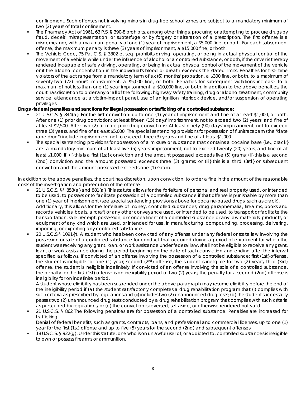confinement. Such offenses not involving minors in drug-free school zones are subject to a mandatory minimum of two (2) years of total confinement.

- The Pharmacy Act of 1961, 63 P.S. § 390-8 prohibits, among other things, procuring or attempting to procure drugs by fraud, deceit, misrepresentation, or subterfuge or by forgery or alteration of a prescription. The first offense is a misdemeanor, with a maximum penalty of one (1) year of imprisonment, a \$5,000 fine, or both. For each subsequent offense, the maximum penalty is three (3) years of imprisonment, a \$15,000 fine, or both.
- The Vehicle Code, 75 Pa. C.S. § 3802 et seq. prohibits driving, operating, or being in actual physical control of the movement of a vehicle while under the influence of alcohol or a controlled substance, or both, if the driver is thereby rendered incapable of safely driving, operating, or being in actual physical control of the movement of the vehicle or if the alcohol concentration in the individual's blood or breath exceeds the stated limits. Penalties for first- time violators of the act range from a mandatory term of six (6) months' probation, a \$300 fine, or both, to a maximum of seventy-two (72) hours' imprisonment, a \$5,000 fine, or both. Penalties for subsequent violations increase to a maximum of not less than one (1) year imprisonment, a \$10,000 fine, or both. In addition to the above penalties, the court has discretion to order any or all of the following: highway safety training, drug or alcohol treatment, community service, attendance at a victim-impact panel, use of an ignition interlock device, and/or suspension of operating privileges.

# **Drugs -federal penalties and sanctions for illegal possession or trafficking of a controlled substance:**

- 21 U.S.C.S. § 844(a}. For the first conviction: up to one (1) year of imprisonment and tine of at least \$1,000, or both. After one (1) prior drug conviction: at least fifteen (15) days' imprisonment, not to exceed two (2) years, and fine of at least \$2,500. After two (2) or more prior drug convictions: At least ninety (90) days' imprisonment, not to exceed three (3) years, and fine of at least \$5,000. The special sentencing provisions for possession of flunitrazepam (the "date rape drug") include imprisonment not to exceed three (3) years and fine of at least \$1,000.
- The special sentencing provisions for possession of a mixture or substance that contains a cocaine base (i.e., crack} are: a mandatory minimum of at least five (5) years' imprisonment, not to exceed twenty (20) years, and fine of at least \$1,000, if: (i} this is a first (1st} conviction and the amount possessed exceeds five (5) grams; (ii} this is a second (2nd) conviction and the amount possessed exceeds three (3) grams; or (iii} this is a third (3rd} or subsequent conviction and the amount possessed exceeds one (1) Gram.

In addition to the above penalties, the court has discretion, upon conviction, to order a fine in the amount of the reasonable costs of the investigation and prosecution of the offense.

- 21 U.S.C.S. §§ 853(a} and 881(a}. This statute allows for the forfeiture of personal and real property used, or intended to be used, to possess or to facilitate possession of a controlled substance if that offense is punishable by more than one (1) year of imprisonment (see special sentencing provisions above for cocaine-based drugs, such as crack). Additionally, this allows for the forfeiture of money, controlled substances, drug paraphernalia, firearms, books and records, vehicles, boats, aircraft or any other conveyance used, or intended to be used, to transport or facilitate the transportation, sale, receipt, possession, or concealment of a controlled substance or any raw materials, products, or equipment of any kind which are used, or intended for use, in manufacturing, compounding, processing, delivering, importing, or exporting any controlled substance.
- 20 U.S.C.S.§ 1091{r). A student who has been convicted of any offense under any federal or state law involving the possession or sale of a controlled substance for conduct that occurred during a period of enrollment for which the student was receiving any grant, loan, or work assistance under federal law, shall not be eligible to receive any grant, loan, or work assistance during the period beginning on the date of such conviction and ending after the interval specified as follows. If convicted of an offense involving the possession of a controlled substance: first (1st} offense, the student is ineligible for one (1) year; second  $(2^{nd})$  offense, the student is ineligible for two  $(2)$  years; third  $(3rd)$ offense, the student is ineligible indefinitely. If convicted of an offense involving the sole of a controlled substance, the penalty for the first (1st) offense is on ineligibility period of two (2) years; the penalty for a second (2nd) offense is ineligibility for on indefinite period.

A student whose eligibility has been suspended under the above paragraph may resume eligibility before the end of the ineligibility period if (a) the student satisfactorily completes a drug rehabilitation program that (i) complies with such criteria as prescribed by regulations and (ii) includes two (2) unannounced drug tests; (b) the student successfully passes two (2) unannounced drug tests conducted by a drug rehabilitation program that complies with such criteria as prescribed by regulations; or (c) the conviction is reversed, set aside, or otherwise rendered not valid.

 21 U.S.C.S. § 862 The following penalties are for possession of a controlled substance. Penalties are increased for trafficking.

Denial of federal benefits, such as grants, contracts, loans, and professional and commercial licenses, up to one (1) year for the first (1st) offense and up to five (5) years for the second (2nd) and subsequent offenses

 18 U.S.C.S. § 922(g). Under this statute, one who is on unlawful user of, or addicted to, controlled substances is ineligible to own or possess firearms or ammunition.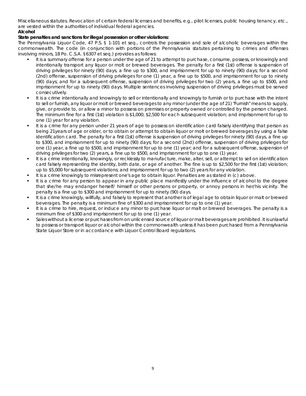Miscellaneous statutes. Revocation of certain federal licenses and benefits, e.g., pilot licenses, public housing tenancy, etc., are vested within the authorities of individual federal agencies.

# *Alcohol*

# *State penalties and sanctions for illegal possession or other violations:*

The Pennsylvania Liquor Code, 47 P.S. § 1-101 et seq., controls the possession and sole of alcoholic beverages within the commonwealth. The code (in conjunction with portions of the Pennsylvania statutes pertaining to crimes and offenses involving minors, 18 Po. C.S.A. §6307 et seq.) provides as follows:

- It is a summary offense for a person under the age of 21 to attempt to purchase, consume, possess, or knowingly and intentionally transport any liquor or molt or brewed beverages. The penalty for a first (1st) offense is suspension of driving privileges for ninety (90) days, a fine up to \$300, and imprisonment for up to ninety (90) days; for a second (2nd) offense, suspension of driving privileges for one (1) year, a fine up to \$500, and imprisonment for up to ninety (90) days; and for a subsequent offense, suspension of driving privileges for two (2) years, a fine up to \$500, and imprisonment for up to ninety (90) days. Multiple sentences involving suspension of driving privileges must be served consecutively.
- It is a crime intentionally and knowingly to sell or intentionally and knowingly to furnish or to purchase with the intent to sell or furnish, any liquor or molt or brewed beverages to any minor (under the age of 21) "Furnish" means to supply, give, or provide to, or allow a minor to possess on premises or property owned or controlled by the person charged. The minimum fine for a first (1st) violation is \$1,000; \$2,500 for each subsequent violation; and imprisonment for up to one (1) year for any violation.
- It is a crime for any person under 21 years of age to possess on identification card falsely identifying that person as being 21years of age or older, or to obtain or attempt to obtain liquor or molt or brewed beverages by using a false identification card. The penalty for a first (1st) offense is suspension of driving privileges for ninety (90) days, a fine up to \$300, and imprisonment for up to ninety (90) days; for a second (2nd) offense, suspension of driving privileges for one (1) year, a fine up to \$500, and imprisonment for up to one (1) year; and for a subsequent offense, suspension of driving privileges for two (2) years, a fine up to \$500, and imprisonment for up to one (1) year.
- It is a crime intentionally, knowingly, or recklessly to manufacture, make, alter, sell, or attempt to sell on identification card falsely representing the identity, birth date, or age of another. The fine is up to \$2,500 for the first (1st) violation; up to \$5,000 for subsequent violations; and imprisonment for up to two (2) years for any violation.
- It is a crime knowingly to misrepresent one's age to obtain liquor. Penalties are as stated in (c) above.
- It is a crime for any person to appear in any public place manifestly under the influence of alcohol to the degree that she/he may endanger herself/ himself or other persons or property, or annoy persons in her/his vicinity. The penalty is a fine up to \$300 and imprisonment for up to ninety (90) days.
- It is a crime knowingly, willfully, and falsely to represent that another is of legal age to obtain liquor or malt or brewed beverages. The penalty is a minimum fine of \$300 and imprisonment for up to one (1) year.
- It is a crime to hire, request, or induce any minor to purchase liquor or malt or brewed beverages. The penalty is a minimum fine of \$300 and imprisonment for up to one (1) year.
- Sales without a license or purchases from on unlicensed source of liquor or malt beverages are prohibited. It is unlawful to possess or transport liquor or alcohol within the commonwealth unless it has been purchased from a Pennsylvania State Liquor Store or in accordance with Liquor Control Board regulations.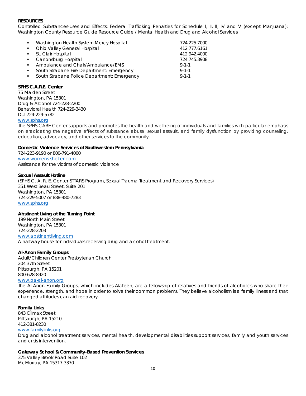#### **RESOURCES**

Controlled Substances-Uses and Effects; Federal Trafficking Penalties for Schedule I, II, II, IV and V (except Marijuana); Washington County Resource Guide Resource Guide / Mental Health and Drug and Alcohol Services

| <b>COL</b>   | Washington Health System Mercy Hospital     | 724.225.7000 |
|--------------|---------------------------------------------|--------------|
| $\sim$       | Ohio Valley General Hospital                | 412.777.6161 |
|              | • St. Clair Hospital                        | 412.942.4000 |
|              | • Canonsburg Hospital                       | 724.745.3908 |
| . н. н.      | Ambulance and Chair/Ambulance/EMS           | $9 - 1 - 1$  |
| $\mathbf{r}$ | South Strabane Fire Department: Emergency   | $9 - 1 - 1$  |
| <b>COL</b>   | South Strabane Police Department: Emergency | $9 - 1 - 1$  |
|              |                                             |              |

#### **SPHS C.A.R.E. Center**

75 Maiden Street Washington, PA 15301 Drug & Alcohol 724-228-2200 Behavioral Health 724-229-3430 DUI 724-229-5782 [www.sphs.org](http://www.sphs.org/)

The SPHS CARE Center supports and promotes the health and wellbeing of individuals and families with particular emphasis on eradicating the negative effects of substance abuse, sexual assault, and family dysfunction by providing counseling, education, advocacy, and other services to the community.

#### **Domestic Violence Services of Southwestern Pennsylvania**

724-223-9190 or 800-791-4000 [www.womens-shelter.com](http://www.womens-shelter.com/) Assistance for the victims of domestic violence

#### **Sexual Assault Hotline**

(SPHS C. A. R. E. Center STTARS Program, Sexual Trauma Treatment and Recovery Services) 351 West Beau Street, Suite 201 Washington, PA 15301 724-229-5007 or 888-480-7283 [www.sphs.org](http://www.sphs.org/)

#### **Abstinent Living at the Turning Point**

199 North Main Street Washington, PA 15301 724-228-2203 [www.abstinentliving.com](http://www.abstinentliving.com/) A halfway house for individuals receiving drug and alcohol treatment.

#### **Al-Anon Family Groups**

Adult/Children Center Presbyterian Church 204 37th Street Pittsburgh, PA 15201 800-628-8920

#### [www.pa-al-anon.org](http://www.pa-al-anon.org/)

The Al-Anon Family Groups, which includes Alateen, are a fellowship of relatives and friends of alcoholics who share their experience, strength, and hope in order to solve their common problems. They believe alcoholism is a family illness and that changed attitudes can aid recovery.

#### **Family Links**

843 Climax Street Pittsburgh, PA 15210 412-381-8230 [www.familylinks.org](http://www.familylinks.org/)

Drug and alcohol treatment services, mental health, developmental disabilities support services, family and youth services and crisis intervention.

#### **Gateway School & Community-Based Prevention Services**

375 Valley Brook Road Suite 102 McMurray, PA 15317-3370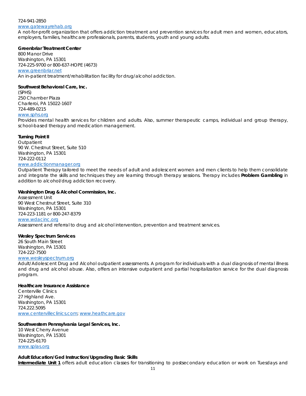# 724-941-2850

#### [www.gatewayrehab.org](http://www.gatewayrehab.org/)

A not-for-profit organization that offers addiction treatment and prevention services for adult men and women, educators, employers, families, healthcare professionals, parents, students, youth and young adults.

# **Greenbriar Treatment Center**

800 Manor Drive Washington, PA 15301 724-225-9700 or 800-637-HOPE (4673) [www.greenbriar.net](http://www.greenbriar.net/) An in-patient treatment/rehabilitation facility for drug/alcohol addiction.

# **Southwest Behavioral Care, Inc.**

(SPHS) 250 Chamber Plaza Charleroi, PA 15022-1607 724-489-0215 [www.sphs.org](http://www.sphs.org/)

Provides mental health services for children and adults. Also, summer therapeutic camps, individual and group therapy, school-based therapy and medication management.

# **Turning Point II**

**Outpatient** 90 W. Chestnut Street, Suite 510 Washington, PA 15301 724-222-0112

# [www.addictionmanager.org](http://www.addictionmanager.org/)

Outpatient Therapy tailored to meet the needs of adult and adolescent women and men clients to help them consolidate and integrate the skills and techniques they are learning through therapy sessions. Therapy includes *Problem Gambling* in addition to alcohol/drug addiction recovery.

# **Washington Drug & Alcohol Commission, Inc.**

Assessment Unit 90 West Chestnut Street, Suite 310 Washington, PA 15301 724-223-1181 or 800-247-8379 [www.wdacinc.org](http://www.wdacinc.org/) Assessment and referral to drug and alcohol intervention, prevention and treatment services.

# **Wesley Spectrum Services**

26 South Main Street Washington, PA 15301 724-222-7500

#### [www.wesleyspectrum.org](http://www.wesleyspectrum.org/)

Adult/Adolescent Drug and Alcohol outpatient assessments. A program for individuals with a dual diagnosis of mental illness and drug and alcohol abuse. Also, offers an intensive outpatient and partial hospitalization service for the dual diagnosis program.

#### **Healthcare Insurance Assistance**

Centerville Clinics 27 Highland Ave. Washington, PA 15301 724.222.5095 [www.centervilleclinics.com;](http://www.centervilleclinics.com/) [www.heathcare.gov](http://www.heathcare.gov/)

# **Southwestern Pennsylvania Legal Services, Inc.**

10 West Cherry Avenue Washington, PA 15301 724-225-6170 [www.splas.org](http://www.splas.org/)

# *Adult Education/Ged Instruction/Upgrading Basic Skills*

**Intermediate Unit 1** offers adult education classes for transitioning to postsecondary education or work on Tuesdays and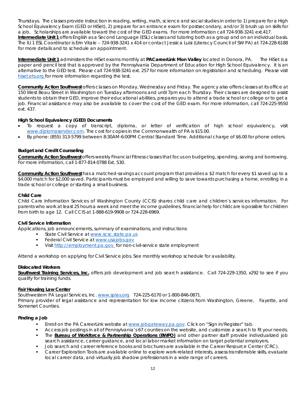Thursdays. The classes provide instruction in reading, writing, math, science and social studies in order to 1) prepare for a High School Equivalency Exam (GED or HiSet), 2) prepare for an entrance exam for postsecondary, and/or 3) brush up on skills for a job. Scholarships are available toward the cost of the GED exams. For more information call 724-938-3241 ext.417. **Intermediate Unit 1** offers English as a Second Language (ESL) classes and tutoring both as a group and on an individual basis. The IU 1 ESL Coordinator is Erin Vitale – 724-938-3241 x 414 or contact Jessica Luisi (Literacy Council of SW PA) at 724-228-6188 for more details and to schedule an appointment.

**Intermediate Unit 1** administers the HiSet exams monthly at **PACareerLink Mon Valley** located in Donora, PA. The HiSet is a paper and pencil test that is approved by the Pennsylvania Department of Education for High School Equivalency. It is an alternative to the GED test. Please call 724-938-3241 ext. 257 for more information on registration and scheduling. Please visit hiset.ets.org for more information regarding the test.

**Community Action Southwest** offers classes on Monday, Wednesday and Friday. The agency also offers classes at its office at 150 West Beau Street in Washington on Tuesday afternoons and until 7pm each Thursday. Their classes are designed to assist students to obtain their GED, improve their educational abilities, prepares you to attend a trade school or college or to get a job. Financial assistance may also be available to cover the cost of the GED exam. For more information, call 724-225-9550 ext. 437.

# *High School Equivalency (GED) Documents*

- To request a copy of transcript, diploma, or letter of verification of high school equivalency, visit [www.diplomasender.com.](http://www.diplomasender.com/) The cost for copies in the Commonwealth of PA is \$15.00.
- By phone: (855) 313-5799 between 8:30AM-6:00PM Central Standard Time. Additional charge of \$6.00 for phone orders.

# *Budget and Credit Counseling*

**Community Action Southwest** offers weekly Financial Fitness classes that focus on budgeting, spending, saving and borrowing. For more information, call 1-877-814-0788 Ext. 530.

**Community Action Southwest** has a matched-savings account program that provides a \$2 match for every \$1 saved up to a \$4,000 match for \$2,000 saved. Participants must be employed and willing to save towards purchasing a home, enrolling in a trade school or college or starting a small business.

# *Child Care*

*Child Care Information Services of Washington County (CCIS)* shares child care and children's services information. For parents who work at least 25 hours a week and meet the income guidelines, financial help for childcare is possible for children from birth to age 12. Call CCIS at 1-888-619-9908 or 724-228-6969.

# *Civil Service Information*

Applications, job announcements, summary of examinations, and instructions:

- State Civil Service at [www.scsc.state.pa.us](http://www.scsc.state.pa.us/)
- Federal Civil Service at [www.usajobs.gov](http://www.usajobs.gov/)
- Visit [http://employment.pa.gov](http://employment.pa.gov/) for non-civil-service state employment

Attend a workshop on applying for Civil Service jobs. See monthly workshop schedule for availability.

# *Dislocated Workers*

**Southwest Training Services, Inc.** offers job development and job search assistance. Call 724-229-1350, x292 to see if you qualify for training funds.

# **Fair Housing Law Center**

Southwestern PA Legal Services, Inc. [www.splas.org](http://www.splas.org/) 724-225-6170 or 1-800-846-0871. Primary provider of legal assistance and representation for low income citizens from Washington, Greene, Fayette, and Somerset Counties.

# *Finding a Job*

- Enroll on the PA CareerLink website at [www.jobgateway.pa.gov.](http://www.jobgateway.pa.gov/) Click on "Sign in/Register" tab.
- Access job postings in all of Pennsylvania's 67 counties on the website, and customize a search to fit your needs.
- The **Bureau of Workforce & Partnership Operations (BWPO)** and other partner staff provide individualized job search assistance, career guidance, and local labor market information on target potential employers.
- Job search and career reference books and brochures are available in the Career Resource Center (CRC).
- Career Exploration Tools are available online to explore work-related interests, assess transferrable skills, evaluate local career data, and virtually job shadow professionals in a wide range of careers.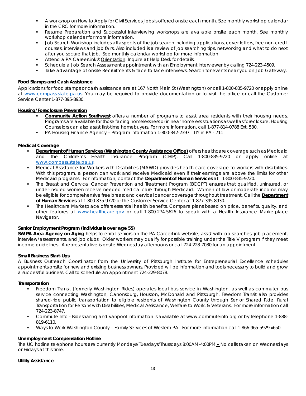- A workshop on How to Apply for Civil Services Jobs is offered onsite each month. See monthly workshop calendar in the CRC for more information.
- Resume Preparation and Successful Interviewing workshops are available onsite each month. See monthly workshop calendar for more information.
- Job Search Workshop includes all aspects of the job search including applications, cover letters, free non-credit courses, interviews and job fairs. Also included is a review of job searching tips, networking and what to do next after you secure that job. See monthly calendar workshop for more information.
- Attend a PA CareerLink® Orientation. Inquire at Help Desk for details.
- Schedule a Job Search Assessment appointment with an Employment interviewer by calling 724-223-4509.
- Take advantage of onsite Recruitments & face to face interviews. Search for events near you on Job Gateway.

# *Food Stamps and Cash Assistance*

Applications for *food stamps or cash assistance* are at 167 North Main St (Washington) or call 1-800-835-9720 or apply online at [www.compass.state.pa.us.](http://www.compass.state.pa.us/) You may be required to provide documentation or to visit the office or call the Customer Service Center 1-877-395-8930.

# **Housing/Foreclosure Prevention**

- **Community Action Southwest** offers a number of programs to assist area residents with their housing needs. Programs are available for those facing homelessness or in near homeless situations as well as foreclosure. Housing Counselors can also assist first-time homebuyers. For more information, call 1-877-814-0788 Ext. 530.
- PA Housing Finance Agency Program Information 1-800-342-2397 TTY in PA 711

# *Medical Coverage*

- **Department of Human Services (Washington County Assistance Office)** offers healthcare coverage such as *Medicaid*  and the *Children's Health Insurance Program (CHIP*). Call 1-800-835-9720 or apply online at [www.compass.state.pa.us.](http://www.compass.state.pa.us/)
- *Medical Assistance for Workers with Disabilities (MAWD*) provides health care coverage to workers with disabilities. With this program, a person can work and receive Medicaid even if their earnings are above the limits for other Medicaid programs. For information, contact the **Department of Human Services** at 1-800-835-9720.
- The *Breast and Cervical Cancer Prevention and Treatment Program (BCCPT*) ensures that qualified, uninsured, or under-insured women receive needed medical care through Medicaid. Women of low or moderate income may be eligible for comprehensive free breast and cervical cancer coverage throughout treatment. Call the **Department of Human Services** at 1-800-835-9720 or the Customer Service Center at 1-877-395-8930.
- The Healthcare Marketplace offers essential health benefits. Compare plans based on price, benefits, quality, and other features at [www.healthcare.gov](http://www.healthcare.gov/) or call 1-800-274-5626 to speak with a Health Insurance Marketplace Navigator.

# *Senior Employment Program (individuals over age 55)*

**SW PA Area Agency on Aging** helps to enroll seniors on the PA CareerLink website, assist with job searches, job placement, interview/assessments, and job clubs. Older workers may qualify for possible training under the *Title V program* if they meet income guidelines. A representative is onsite Wednesday afternoons or call 724-228-7080 for an appointment.

# *Small Business Start-Ups*

A Business Outreach Coordinator from the University of Pittsburgh Institute for Entrepreneurial Excellence schedules appointments onsite for new and existing business owners. Provided will be information and tools necessary to build and grow a successful business. Call to schedule an appointment 724-229-8078.

# *Transportation*

- *Freedom Transit (formerly Washington Rides)* operates local bus service in Washington, as well as commuter bus service connecting Washington, Canonsburg, Houston, McDonald and Pittsburgh. Freedom Transit also provides shared-ride public transportation to eligible residents of Washington County through Senior Shared Ride, Rural Transportation for Persons with Disabilities, Medical Assistance, Welfare to Work, & Veterans. For more information call 724-223-8747.
- Commute Info Ridesharing and vanpool information is available at www.commuteinfo.org or by telephone 1-888- 819-6110.
- Ways to Work Washington County Family Services of Western PA. For more information call 1-866-965-5929 x650

# *Unemployment Compensation Hotline*

The UC hotline telephone hours are currently Mondays/Tuesdays/Thursdays 8:00AM-4:00PM **-** No calls taken on Wednesdays or Fridays at this time.

#### *Utility Assistance*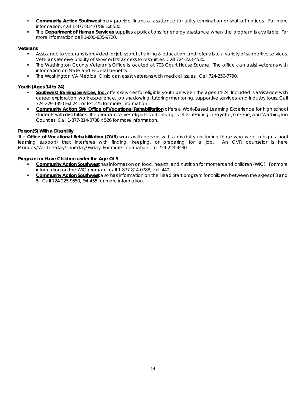- **Community Action Southwest** may provide financial assistance for utility termination or shut off notices. For more information, call 1-877-814-0788 Ext.530.
- The **Department of Human Services** supplies applications for energy assistance when the program is available. For more information call 1-800-835-9720.

# *Veterans*

- Assistance to veterans is provided for job search, training & education, and referrals to a variety of supportive services. Veterans receive priority of service/first access to resources. Call 724-223-4520.
- The *Washington County Veteran's Office* is located at 703 Court House Square. The office can assist veterans with information on State and Federal benefits.
- The Washington VA Medical Clinic can assist veterans with medical issues. Call 724-250-7790.

# *Youth (Ages 14 to 24)*

- **Southwest Training Services, Inc.** offers services for eligible youth between the ages 14-24. Included is assistance with career exploration, work experience, job shadowing, tutoring/mentoring, supportive services, and industry tours. Call 724-229-1350 Ext 241 or Ext 275 for more information.
- **Community Action SW/ Office of Vocational Rehabilitation** offers a Work-Based Learning Experience for high school students with disabilities. The program serves eligible students ages 14-21 residing in Fayette, Greene, and Washington Counties. Call 1-877-814-0788 x 526 for more information.

# *Person(S) With a Disability*

The **Office of Vocational Rehabilitation (OVR)** works with persons with a disability (including those who were in high school learning support) that interferes with finding, keeping, or preparing for a job. An OVR counselor is here Monday/Wednesday/Thursday/Friday. For more information call 724-223-4430.

# *Pregnant or Have Children under the Age Of 5*

- **Community Action Southwest** has information on food, health, and nutrition for mothers and children *(WIC).* For more information on the WIC program, call 1-877-814-0788, ext. 440.
- **Community Action Southwest** also has information on the Head Start program for children between the ages of 3 and 5. Call 724-225-9550, Ext 455 for more information.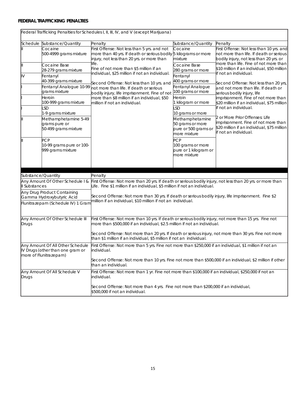# **FEDERAL TRAFFICKING PENALTIES**

|                                                                                                |                                                                            | Federal Trafficking Penalties for Schedules I, II, III, IV, and V (except Marijuana)                                                                                                     |                                                                             |                                                                                                                                                    |  |  |  |  |  |
|------------------------------------------------------------------------------------------------|----------------------------------------------------------------------------|------------------------------------------------------------------------------------------------------------------------------------------------------------------------------------------|-----------------------------------------------------------------------------|----------------------------------------------------------------------------------------------------------------------------------------------------|--|--|--|--|--|
|                                                                                                | Schedule Substance/Quantity                                                | Penalty                                                                                                                                                                                  | Substance/Quantity                                                          | Penalty                                                                                                                                            |  |  |  |  |  |
|                                                                                                | Cocaine<br>500-4999 grams mixture                                          | First Offense: Not less than 5 yrs. and not<br>more than 40 yrs. If death or serious bodily 5 kilograms or more<br>injury, not less than 20 yrs. or more than                            | Cocaine<br>mixture                                                          | First Offense: Not less than 10 yrs. and<br>not more than life. If death or serious<br>bodily injury, not less than 20 yrs. or                     |  |  |  |  |  |
| IV                                                                                             | Cocaine Base<br>28-279 grams mixture<br>Fentanyl                           | life.<br>Fine of not more than \$5 million if an<br>individual, \$25 million if not an individual.                                                                                       | Cocaine Base<br>280 grams or more<br>Fentanyl                               | more than life. Fine of not more than<br>\$10 million if an individual, \$50 million<br>if not an individual.                                      |  |  |  |  |  |
|                                                                                                | 40-399 grams mixture<br>Fentanyl Analogue 10-99<br>grams mixture<br>Heroin | Second Offense: Not less than 10 yrs. and<br>not more than life. If death or serious<br>bodily injury, life imprisonment. Fine of not<br>more than \$8 million if an individual, \$50    | 400 grams or more<br>Fentanyl Analogue<br>100 grams or more<br>Heroin       | Second Offense: Not less than 20 yrs,<br>and not more than life. If death or<br>serious bodily injury, life<br>imprisonment. Fine of not more than |  |  |  |  |  |
|                                                                                                | 100-999 grams mixture<br>LSD<br>1-9 grams mixture                          | million if not an individual.                                                                                                                                                            | 1 kilogram or more<br><b>SD</b><br>10 grams or more                         | \$20 million if an individual, \$75 million<br>if not an individual.                                                                               |  |  |  |  |  |
|                                                                                                | Methamphetamine 5-49<br>grams pure or<br>50-499 grams mixture              |                                                                                                                                                                                          | Methamphetamine<br>50 grams or more<br>pure or 500 grams or<br>more mixture | 2 or More Prior Offenses: Life<br>imprisonment. Fine of not more than<br>\$20 million if an individual, \$75 million<br>if not an individual.      |  |  |  |  |  |
|                                                                                                | <b>PCP</b><br>10-99 grams pure or 100-<br>999 grams mixture                |                                                                                                                                                                                          | PCP<br>100 grams or more<br>pure or 1 kilogram or<br>more mixture           |                                                                                                                                                    |  |  |  |  |  |
| Substance/Quantity                                                                             |                                                                            | Penalty                                                                                                                                                                                  |                                                                             |                                                                                                                                                    |  |  |  |  |  |
| Il Substances                                                                                  | Any Amount Of Other Schedule I &                                           | First Offense: Not more than 20 yrs. If death or serious bodily injury, not less than 20 yrs. or more than<br>Life. Fine \$1 million if an individual, \$5 million if not an individual. |                                                                             |                                                                                                                                                    |  |  |  |  |  |
|                                                                                                | Any Drug Product Containing<br>Gamma Hydroxybutyric Acid                   | Second Offense: Not more than 30 yrs. If death or serious bodily injury, life imprisonment. Fine \$2                                                                                     |                                                                             |                                                                                                                                                    |  |  |  |  |  |
|                                                                                                | Flunitrazepam (Schedule IV) 1 Gram                                         | million if an individual, \$10 million if not an individual.                                                                                                                             |                                                                             |                                                                                                                                                    |  |  |  |  |  |
| Any Amount Of Other Schedule III<br>Drugs                                                      |                                                                            | First Offense: Not more than 10 yrs. If death or serious bodily injury, not more than 15 yrs. Fine not<br>more than \$500,000 if an individual, \$2.5 million if not an individual.      |                                                                             |                                                                                                                                                    |  |  |  |  |  |
|                                                                                                |                                                                            | Second Offense: Not more than 20 yrs. If death or serious injury, not more than 30 yrs. Fine not more<br>than \$1 million if an individual, \$5 million if not an individual.            |                                                                             |                                                                                                                                                    |  |  |  |  |  |
| Any Amount Of All Other Schedule<br>IV Drugs (other than one gram or<br>more of Flunitrazepam) |                                                                            | First Offense: Not more than 5 yrs. Fine not more than \$250,000 if an individual, \$1 million if not an<br>individual.                                                                  |                                                                             |                                                                                                                                                    |  |  |  |  |  |
|                                                                                                |                                                                            | Second Offense: Not more than 10 yrs. Fine not more than \$500,000 if an individual, \$2 million if other<br>than an individual.                                                         |                                                                             |                                                                                                                                                    |  |  |  |  |  |
| Drugs                                                                                          | Any Amount Of All Schedule V                                               | First Offense: Not more than 1 yr. Fine not more than \$100,000 if an individual, \$250,000 if not an<br>individual.                                                                     |                                                                             |                                                                                                                                                    |  |  |  |  |  |
|                                                                                                |                                                                            | Second Offense: Not more than 4 yrs. Fine not more than \$200,000 if an individual,<br>\$500,000 if not an individual.                                                                   |                                                                             |                                                                                                                                                    |  |  |  |  |  |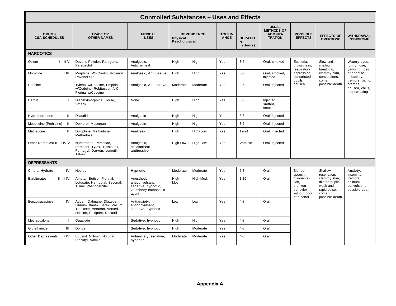| <b>Controlled Substances - Uses and Effects</b> |                                                                                                                           |                                                                                         |                                                       |           |                              |                                |                                                                        |                                                                                      |                                                                                        |                                                                                                |
|-------------------------------------------------|---------------------------------------------------------------------------------------------------------------------------|-----------------------------------------------------------------------------------------|-------------------------------------------------------|-----------|------------------------------|--------------------------------|------------------------------------------------------------------------|--------------------------------------------------------------------------------------|----------------------------------------------------------------------------------------|------------------------------------------------------------------------------------------------|
| <b>DRUGS</b><br><b>CSA SCHEDULES</b>            | <b>TRADE OR</b><br><b>OTHER NAMES</b>                                                                                     | <b>MEDICAL</b><br><b>USES</b>                                                           | <b>DEPENDENCE</b><br><b>Physical</b><br>Psychological |           | <b>TOLER-</b><br><b>ANCE</b> | <b>DURATIO</b><br>N<br>(Hours) | <b>USUAL</b><br><b>METHODS OF</b><br><b>ADMINIS-</b><br><b>TRATION</b> | <b>POSSIBLE</b><br><b>EFFECTS</b>                                                    | <b>EFFECTS OF</b><br><b>OVERDOSE</b>                                                   | WITHDRAWAL<br><b>SYNDROME</b>                                                                  |
| <b>NARCOTICS</b>                                |                                                                                                                           |                                                                                         |                                                       |           |                              |                                |                                                                        |                                                                                      |                                                                                        |                                                                                                |
| II III V<br>Opium                               | Dover's Powder, Paregoric,<br>Parepectolin                                                                                | Analgesic,<br>Antidiarrheal                                                             | High                                                  | High      | Yes                          | $3-6$                          | Oral, smoked                                                           | Euphoria,<br>drowsiness,<br>respiratory                                              | Slow and<br>shallow<br>breathing,                                                      | Watery eyes,<br>runny nose,<br>yawning, loss                                                   |
| Morphine<br>$   \cdot   $                       | Morphine, MS-Contin, Roxanol,<br>Roxanol-SR                                                                               | Analgesic, Antitussive                                                                  | High                                                  | High      | Yes                          | $3-6$                          | Oral, smoked,<br>injected                                              | depression.<br>constricted<br>pupils,                                                | clammy skin,<br>convulsions,<br>coma,<br>possible death                                | of appetite,<br>irritability,<br>tremors, panic,<br>cramps,<br>nausea, chills,<br>and sweating |
| Codeine                                         | Tylenol w/Codeine, Empirin<br>w/Codeine, Robitussan A-C,<br>Fiorinal w/Codeine                                            | Analgesic, Antitussive                                                                  | Moderate                                              | Moderate  | Yes                          | $3-6$                          | Oral, injected                                                         | nausea                                                                               |                                                                                        |                                                                                                |
| Heroin<br>$\mathbf{I}$                          | Diacetylmorphine, Horse,<br>Smack                                                                                         | None                                                                                    | High                                                  | High      | Yes                          | $3-6$                          | Injected,<br>sniffed,<br>smoked                                        |                                                                                      |                                                                                        |                                                                                                |
| $\mathbf{H}$<br>Hydromorphone                   | Dilaudid                                                                                                                  | Analgesic                                                                               | High                                                  | High      | Yes                          | $3-6$                          | Oral, injected                                                         |                                                                                      |                                                                                        |                                                                                                |
| Meperidine (Pethidine)                          | Demerol, Mepergan                                                                                                         | Analgesic                                                                               | High                                                  | High      | Yes                          | $3-6$                          | Oral, injected                                                         |                                                                                      |                                                                                        |                                                                                                |
| $\mathbf{H}$<br>Methadone                       | Dolophine, Methadone,<br>Methadose                                                                                        | Analgesic                                                                               | High                                                  | High-Low  | Yes                          | $12 - 24$                      | Oral, injected                                                         |                                                                                      |                                                                                        |                                                                                                |
| Other NarcoticsI II III IV V                    | Numorphan, Percodan,<br>Percocet, Tylox, Tussionex,<br>Fentanyl, Darvon, Lomotil,<br>Talwin                               | Analgesic,<br>antidiarrheal,<br>antitussive                                             | High-Low                                              | High-Low  | Yes                          | Variable                       | Oral, injected                                                         |                                                                                      |                                                                                        |                                                                                                |
| <b>DEPRESSANTS</b>                              |                                                                                                                           |                                                                                         |                                                       |           |                              |                                |                                                                        |                                                                                      |                                                                                        |                                                                                                |
| IV<br>Chloral Hydrate                           | Noctec                                                                                                                    | Hypnotic                                                                                | Moderate                                              | Moderate  | Yes                          | $5-8$                          | Oral                                                                   | Slurred                                                                              | Shallow<br>respiration,                                                                | Anxiety,<br>insomnia,                                                                          |
| II III IV<br><b>Barbiturates</b>                | Amytal, Butisol, Florinal,<br>Lotusate, Nembutal, Seconal,<br>Tuinal. Phenobarbital                                       | Anesthetic,<br>anticonvulsant,<br>sedative, hypnotic,<br>veterinary euthanasic<br>agent | High-<br>Mod.                                         | High-Mod. | Yes                          | $1 - 16$                       | Oral                                                                   | speech,<br>disorienta-<br>tion.<br>drunken<br>behavior<br>without odor<br>of alcohol | clammy skin,<br>dilated pupils,<br>weak and<br>rapid pulse,<br>coma,<br>possible death | tremors,<br>delirium,<br>convulsions,<br>possible death                                        |
| IV<br>Benzodiazepines                           | Ativan, Dalmane, Dlazepam,<br>Librium, Xanax, Serax, Valium,<br>Tranxexe, Verstran, Versed,<br>Halcion, Paxipam, Restoril | Antianxiety,<br>anticonvulsant,<br>sedative, hypnotic                                   | Low                                                   | Low       | Yes                          | $4 - 8$                        | Oral                                                                   |                                                                                      |                                                                                        |                                                                                                |
| Methaqualone                                    | Quaalude                                                                                                                  | Sedative, hypnotic                                                                      | High                                                  | High      | Yes                          | $4 - 8$                        | Oral                                                                   |                                                                                      |                                                                                        |                                                                                                |
| Glutethimide<br>Ш                               | Doriden                                                                                                                   | Sedative, hypnotic                                                                      | High                                                  | Moderate  | Yes                          | $4 - 8$                        | Oral                                                                   |                                                                                      |                                                                                        |                                                                                                |
| Other Depressants III IV                        | Equanil, Miltown, Noludar,<br>Placidyl, Valmid                                                                            | Antianxiety, sedative,<br>hypnotic                                                      | Moderate                                              | Moderate  | Yes                          | $4 - 8$                        | Oral                                                                   |                                                                                      |                                                                                        |                                                                                                |